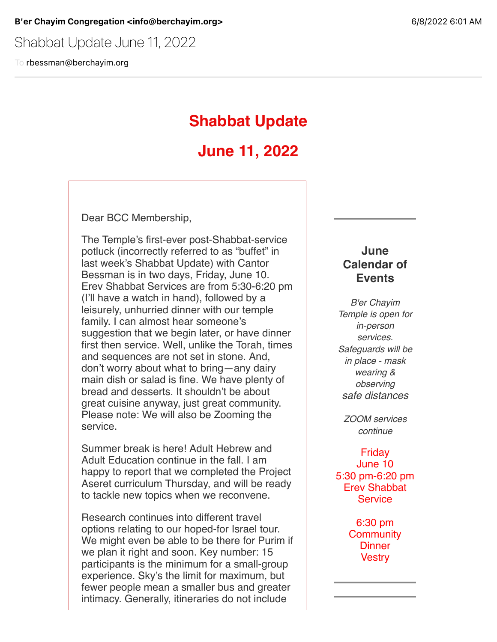Shabbat Update June 11, 2022

To rbessman@berchayim.org

# **Shabbat Update**

# **June 11, 2022**

Dear BCC Membership,

The Temple's first-ever post-Shabbat-service potluck (incorrectly referred to as "buffet" in last week's Shabbat Update) with Cantor Bessman is in two days, Friday, June 10. Erev Shabbat Services are from 5:30-6:20 pm (I'll have a watch in hand), followed by a leisurely, unhurried dinner with our temple family. I can almost hear someone's suggestion that we begin later, or have dinner first then service. Well, unlike the Torah, times and sequences are not set in stone. And, don't worry about what to bring—any dairy main dish or salad is fine. We have plenty of bread and desserts. It shouldn't be about great cuisine anyway, just great community. Please note: We will also be Zooming the service.

Summer break is here! Adult Hebrew and Adult Education continue in the fall. I am happy to report that we completed the Project Aseret curriculum Thursday, and will be ready to tackle new topics when we reconvene.

Research continues into different travel options relating to our hoped-for Israel tour. We might even be able to be there for Purim if we plan it right and soon. Key number: 15 participants is the minimum for a small-group experience. Sky's the limit for maximum, but fewer people mean a smaller bus and greater intimacy. Generally, itineraries do not include

### **June Calendar of Events**

*B'er Chayim Temple is open for in-person services. Safeguards will be in place - mask wearing & observing safe distances*

*ZOOM services continue*

Friday June 10 5:30 pm-6:20 pm Erev Shabbat **Service** 

> 6:30 pm **Community Dinner Vestry**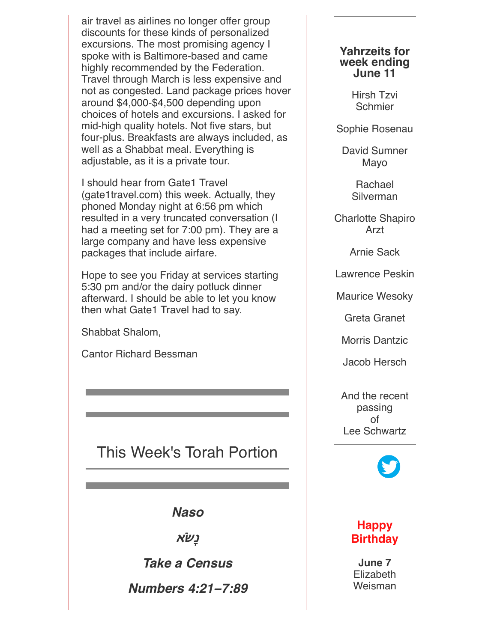air travel as airlines no longer offer group discounts for these kinds of personalized excursions. The most promising agency I spoke with is Baltimore-based and came highly recommended by the Federation. Travel through March is less expensive and not as congested. Land package prices hover around \$4,000-\$4,500 depending upon choices of hotels and excursions. I asked for mid-high quality hotels. Not five stars, but four-plus. Breakfasts are always included, as well as a Shabbat meal. Everything is adjustable, as it is a private tour.

I should hear from Gate1 Travel (gate1travel.com) this week. Actually, they phoned Monday night at 6:56 pm which resulted in a very truncated conversation (I had a meeting set for 7:00 pm). They are a large company and have less expensive packages that include airfare.

Hope to see you Friday at services starting 5:30 pm and/or the dairy potluck dinner afterward. I should be able to let you know then what Gate1 Travel had to say.

Shabbat Shalom,

Cantor Richard Bessman

# This Week's Torah Portion

*Naso*

**נֹ#ָא**

*Take a Census*

*Numbers 4:21***−***7:89*

### **Yahrzeits for week ending June 11**

Hirsh Tzvi **Schmier** 

Sophie Rosenau

David Sumner Mayo

> Rachael **Silverman**

Charlotte Shapiro Arzt

Arnie Sack

Lawrence Peskin

Maurice Wesoky

Greta Granet

Morris Dantzic

Jacob Hersch

And the recent passing of Lee Schwartz



## **Happy Birthday**

**June 7** Elizabeth Weisman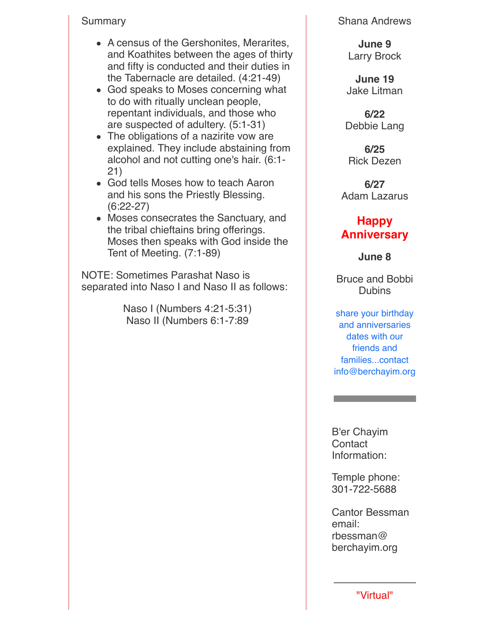### Summary

- A census of the Gershonites, Merarites, and Koathites between the ages of thirty and fifty is conducted and their duties in the Tabernacle are detailed. (4:21-49)
- God speaks to Moses concerning what to do with ritually unclean people, repentant individuals, and those who are suspected of adultery. (5:1-31)
- The obligations of a nazirite vow are explained. They include abstaining from alcohol and not cutting one's hair. (6:1- 21)
- God tells Moses how to teach Aaron and his sons the Priestly Blessing. (6:22-27)
- Moses consecrates the Sanctuary, and the tribal chieftains bring offerings. Moses then speaks with God inside the Tent of Meeting. (7:1-89)

NOTE: Sometimes Parashat Naso is separated into Naso I and Naso II as follows:

> Naso I (Numbers 4:21-5:31) Naso II (Numbers 6:1-7:89

Shana Andrews

**June 9** Larry Brock

**June 19** Jake Litman

**6/22** Debbie Lang

**6/25** Rick Dezen

**6/27** Adam Lazarus

## **Happy Anniversary**

**June 8**

Bruce and Bobbi **Dubins** 

share your birthday and anniversaries dates with our friends and families...contact info@berchayim.org

B'er Chayim **Contact** Information:

Temple phone: 301-722-5688

Cantor Bessman email: rbessman@ berchayim.org

"Virtual"